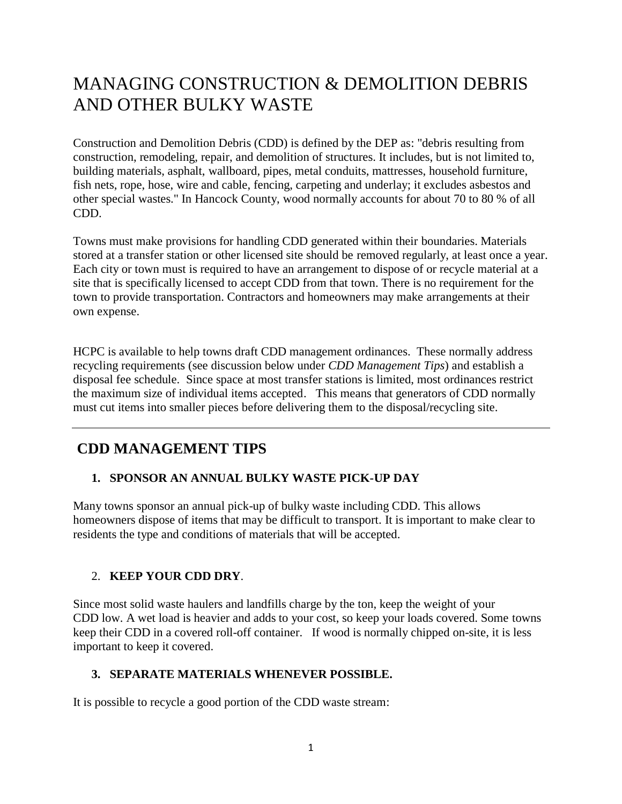# MANAGING CONSTRUCTION & DEMOLITION DEBRIS AND OTHER BULKY WASTE

Construction and Demolition Debris (CDD) is defined by the DEP as: "debris resulting from construction, remodeling, repair, and demolition of structures. It includes, but is not limited to, building materials, asphalt, wallboard, pipes, metal conduits, mattresses, household furniture, fish nets, rope, hose, wire and cable, fencing, carpeting and underlay; it excludes asbestos and other special wastes." In Hancock County, wood normally accounts for about 70 to 80 % of all CDD.

Towns must make provisions for handling CDD generated within their boundaries. Materials stored at a transfer station or other licensed site should be removed regularly, at least once a year. Each city or town must is required to have an arrangement to dispose of or recycle material at a site that is specifically licensed to accept CDD from that town. There is no requirement for the town to provide transportation. Contractors and homeowners may make arrangements at their own expense.

HCPC is available to help towns draft CDD management ordinances. These normally address recycling requirements (see discussion below under *CDD Management Tips*) and establish a disposal fee schedule. Since space at most transfer stations is limited, most ordinances restrict the maximum size of individual items accepted. This means that generators of CDD normally must cut items into smaller pieces before delivering them to the disposal/recycling site.

## **CDD MANAGEMENT TIPS**

### **1. SPONSOR AN ANNUAL BULKY WASTE PICK-UP DAY**

Many towns sponsor an annual pick-up of bulky waste including CDD. This allows homeowners dispose of items that may be difficult to transport. It is important to make clear to residents the type and conditions of materials that will be accepted.

#### 2. **KEEP YOUR CDD DRY**.

Since most solid waste haulers and landfills charge by the ton, keep the weight of your CDD low. A wet load is heavier and adds to your cost, so keep your loads covered. Some towns keep their CDD in a covered roll-off container. If wood is normally chipped on-site, it is less important to keep it covered.

#### **3. SEPARATE MATERIALS WHENEVER POSSIBLE.**

It is possible to recycle a good portion of the CDD waste stream: